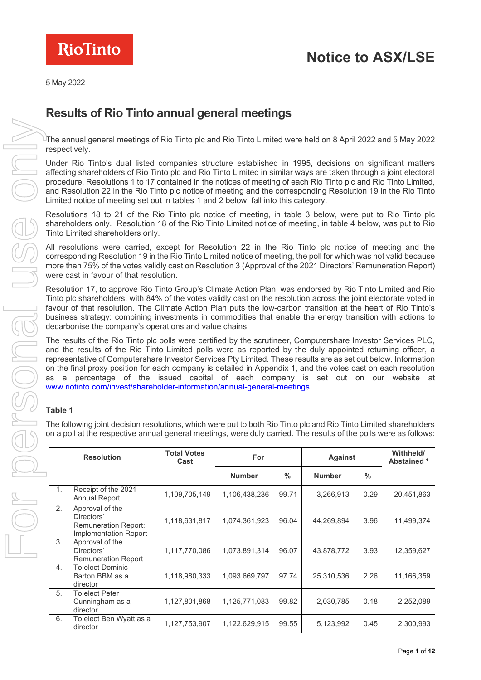

# **Results of Rio Tinto annual general meetings**

 $^\pm$ The annual general meetings of Rio Tinto plc and Rio Tinto Limited were held on 8 April 2022 and 5 Mav 2022 respectively.

Under Rio Tinto's dual listed companies structure established in 1995, decisions on significant matters affecting shareholders of Rio Tinto plc and Rio Tinto Limited in similar ways are taken through a joint electoral procedure. Resolutions 1 to 17 contained in the notices of meeting of each Rio Tinto plc and Rio Tinto Limited, and Resolution 22 in the Rio Tinto plc notice of meeting and the corresponding Resolution 19 in the Rio Tinto Limited notice of meeting set out in tables 1 and 2 below, fall into this category.

Resolutions 18 to 21 of the Rio Tinto plc notice of meeting, in table 3 below, were put to Rio Tinto plc shareholders only. Resolution 18 of the Rio Tinto Limited notice of meeting, in table 4 below, was put to Rio Tinto Limited shareholders only.

All resolutions were carried, except for Resolution 22 in the Rio Tinto plc notice of meeting and the corresponding Resolution 19 in the Rio Tinto Limited notice of meeting, the poll for which was not valid because more than 75% of the votes validly cast on Resolution 3 (Approval of the 2021 Directors' Remuneration Report) were cast in favour of that resolution.

Resolution 17, to approve Rio Tinto Group's Climate Action Plan, was endorsed by Rio Tinto Limited and Rio Tinto plc shareholders, with 84% of the votes validly cast on the resolution across the joint electorate voted in favour of that resolution. The Climate Action Plan puts the low-carbon transition at the heart of Rio Tinto's business strategy: combining investments in commodities that enable the energy transition with actions to decarbonise the company's operations and value chains.

The results of the Rio Tinto plc polls were certified by the scrutineer, Computershare Investor Services PLC, and the results of the Rio Tinto Limited polls were as reported by the duly appointed returning officer, a representative of Computershare Investor Services Pty Limited. These results are as set out below. Information on the final proxy position for each company is detailed in Appendix 1, and the votes cast on each resolution as a percentage of the issued capital of each company is set out on our website at [www.riotinto.com/invest/shareholder-information/annual-general-meetings.](https://www.riotinto.com/invest/shareholder-information/annual-general-meetings)

## **Table 1**

The following joint decision resolutions, which were put to both Rio Tinto plc and Rio Tinto Limited shareholders on a poll at the respective annual general meetings, were duly carried. The results of the polls were as follows:

| <b>Resolution</b> |                                                                                       | <b>Total Votes</b><br>Cast | For           |               | <b>Against</b> |               | Withheld/<br>Abstained <sup>1</sup> |
|-------------------|---------------------------------------------------------------------------------------|----------------------------|---------------|---------------|----------------|---------------|-------------------------------------|
|                   |                                                                                       |                            | <b>Number</b> | $\frac{0}{0}$ | <b>Number</b>  | $\frac{0}{0}$ |                                     |
| $\mathbf{1}$ .    | Receipt of the 2021<br><b>Annual Report</b>                                           | 1,109,705,149              | 1,106,438,236 | 99.71         | 3,266,913      | 0.29          | 20,451,863                          |
| 2.                | Approval of the<br>Directors'<br><b>Remuneration Report:</b><br>Implementation Report | 1,118,631,817              | 1,074,361,923 | 96.04         | 44,269,894     | 3.96          | 11,499,374                          |
| 3.                | Approval of the<br>Directors'<br><b>Remuneration Report</b>                           | 1,117,770,086              | 1,073,891,314 | 96.07         | 43,878,772     | 3.93          | 12,359,627                          |
| 4.                | To elect Dominic<br>Barton BBM as a<br>director                                       | 1,118,980,333              | 1,093,669,797 | 97.74         | 25,310,536     | 2.26          | 11,166,359                          |
| 5 <sub>1</sub>    | To elect Peter<br>Cunningham as a<br>director                                         | 1,127,801,868              | 1,125,771,083 | 99.82         | 2,030,785      | 0.18          | 2,252,089                           |
| 6.                | To elect Ben Wyatt as a<br>director                                                   | 1,127,753,907              | 1,122,629,915 | 99.55         | 5,123,992      | 0.45          | 2,300,993                           |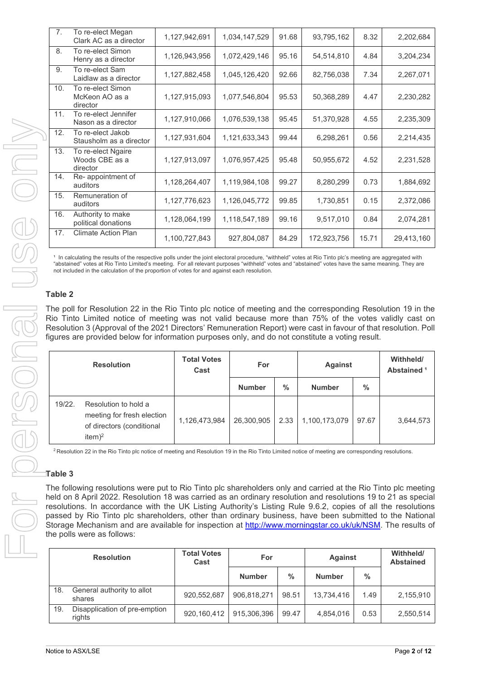| 7 <sub>1</sub> | To re-elect Megan<br>Clark AC as a director      | 1,127,942,691 | 1,034,147,529 | 91.68 | 93,795,162  | 8.32  | 2,202,684  |
|----------------|--------------------------------------------------|---------------|---------------|-------|-------------|-------|------------|
| 8.             | To re-elect Simon<br>Henry as a director         | 1,126,943,956 | 1,072,429,146 | 95.16 | 54,514,810  | 4.84  | 3,204,234  |
| 9.             | To re-elect Sam<br>Laidlaw as a director         | 1,127,882,458 | 1,045,126,420 | 92.66 | 82,756,038  | 7.34  | 2,267,071  |
| 10.            | To re-elect Simon<br>McKeon AO as a<br>director  | 1,127,915,093 | 1,077,546,804 | 95.53 | 50,368,289  | 4.47  | 2,230,282  |
| 11.            | To re-elect Jennifer<br>Nason as a director      | 1,127,910,066 | 1,076,539,138 | 95.45 | 51,370,928  | 4.55  | 2,235,309  |
| 12.            | To re-elect Jakob<br>Stausholm as a director     | 1,127,931,604 | 1,121,633,343 | 99.44 | 6,298,261   | 0.56  | 2,214,435  |
| 13.            | To re-elect Ngaire<br>Woods CBE as a<br>director | 1,127,913,097 | 1,076,957,425 | 95.48 | 50,955,672  | 4.52  | 2,231,528  |
| 14.            | Re- appointment of<br>auditors                   | 1,128,264,407 | 1,119,984,108 | 99.27 | 8,280,299   | 0.73  | 1,884,692  |
| 15.            | Remuneration of<br>auditors                      | 1,127,776,623 | 1,126,045,772 | 99.85 | 1,730,851   | 0.15  | 2,372,086  |
| 16.            | Authority to make<br>political donations         | 1,128,064,199 | 1,118,547,189 | 99.16 | 9,517,010   | 0.84  | 2,074,281  |
| 17.            | <b>Climate Action Plan</b>                       | 1,100,727,843 | 927,804,087   | 84.29 | 172,923,756 | 15.71 | 29,413,160 |
|                |                                                  |               |               |       |             |       |            |

 $^\mathrm{1}$  In calculating the results of the respective polls under the joint electoral procedure, "withheld" votes at Rio Tinto plc's meeting are aggregated with "abstained" votes at Rio Tinto Limited's meeting. For all relevant purposes "withheld" votes and "abstained" votes have the same meaning. They are not included in the calculation of the proportion of votes for and against each resolution.

#### **Table 2**

The poll for Resolution 22 in the Rio Tinto plc notice of meeting and the corresponding Resolution 19 in the Rio Tinto Limited notice of meeting was not valid because more than 75% of the votes validly cast on Resolution 3 (Approval of the 2021 Directors' Remuneration Report) were cast in favour of that resolution. Poll figures are provided below for information purposes only, and do not constitute a voting result.

|        | <b>Resolution</b>                                                                             | <b>Total Votes</b><br>Cast | For           |               | <b>Against</b> |       |           | Withheld/<br>Abstained <sup>1</sup> |
|--------|-----------------------------------------------------------------------------------------------|----------------------------|---------------|---------------|----------------|-------|-----------|-------------------------------------|
|        |                                                                                               |                            | <b>Number</b> | $\frac{0}{0}$ | <b>Number</b>  | $\%$  |           |                                     |
| 19/22. | Resolution to hold a<br>meeting for fresh election<br>of directors (conditional<br>item $)^2$ | 1,126,473,984              | 26,300,905    | 2.33          | 1,100,173,079  | 97.67 | 3,644,573 |                                     |

<sup>2</sup> Resolution 22 in the Rio Tinto plc notice of meeting and Resolution 19 in the Rio Tinto Limited notice of meeting are corresponding resolutions.

### **Table 3**

The following resolutions were put to Rio Tinto plc shareholders only and carried at the Rio Tinto plc meeting held on 8 April 2022. Resolution 18 was carried as an ordinary resolution and resolutions 19 to 21 as special resolutions. In accordance with the UK Listing Authority's Listing Rule 9.6.2, copies of all the resolutions passed by Rio Tinto plc shareholders, other than ordinary business, have been submitted to the National Storage Mechanism and are available for inspection at [http://www.morningstar.co.uk/uk/NSM.](http://www.morningstar.co.uk/uk/NSM) The results of the polls were as follows:

| <b>Resolution</b> |                                         | <b>Total Votes</b><br>Cast | For           |               | <b>Against</b> |               | Withheld/<br><b>Abstained</b> |
|-------------------|-----------------------------------------|----------------------------|---------------|---------------|----------------|---------------|-------------------------------|
|                   |                                         |                            | <b>Number</b> | $\frac{0}{0}$ | <b>Number</b>  | $\frac{0}{0}$ |                               |
| 18.               | General authority to allot<br>shares    | 920,552,687                | 906,818,271   | 98.51         | 13,734,416     | 1.49          | 2,155,910                     |
| 19.               | Disapplication of pre-emption<br>rights | 920,160,412                | 915,306,396   | 99.47         | 4,854,016      | 0.53          | 2,550,514                     |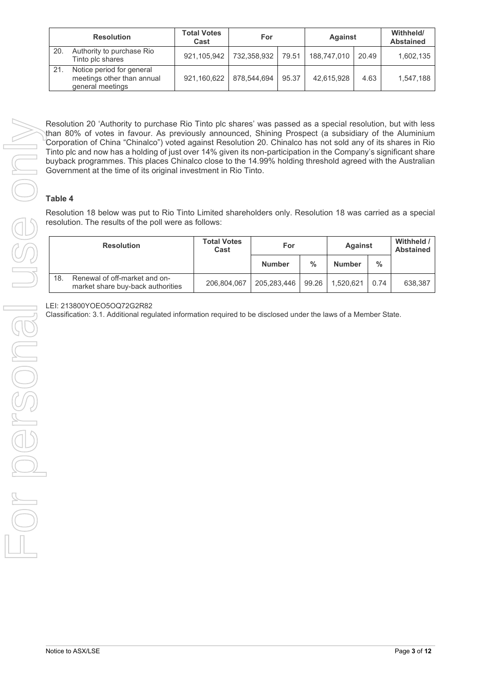|     | <b>Resolution</b>                                                           | <b>Total Votes</b><br>Cast | For         |       | <b>Against</b> |       | Withheld/<br><b>Abstained</b> |
|-----|-----------------------------------------------------------------------------|----------------------------|-------------|-------|----------------|-------|-------------------------------|
| 20. | Authority to purchase Rio<br>Tinto plc shares                               | 921,105,942                | 732,358,932 | 79.51 | 188,747,010    | 20.49 | 1,602,135                     |
| 21. | Notice period for general<br>meetings other than annual<br>general meetings | 921,160,622                | 878,544,694 | 95.37 | 42,615,928     | 4.63  | 1,547,188                     |

### **Table 4**

| Tinto plc and now has a holding of just over 14% given its non-participation in the Company's significant share<br>buyback programmes. This places Chinalco close to the 14.99% holding threshold agreed with the Australian<br>Government at the time of its original investment in Rio Tinto.<br>Table 4<br>Resolution 18 below was put to Rio Tinto Limited shareholders only. Resolution 18 was carried as a special<br>resolution. The results of the poll were as follows: |                            |               |       |                |      |                                |
|----------------------------------------------------------------------------------------------------------------------------------------------------------------------------------------------------------------------------------------------------------------------------------------------------------------------------------------------------------------------------------------------------------------------------------------------------------------------------------|----------------------------|---------------|-------|----------------|------|--------------------------------|
| <b>Resolution</b>                                                                                                                                                                                                                                                                                                                                                                                                                                                                | <b>Total Votes</b><br>Cast | For           |       | <b>Against</b> |      | Withheld /<br><b>Abstained</b> |
|                                                                                                                                                                                                                                                                                                                                                                                                                                                                                  |                            | <b>Number</b> | $\%$  | <b>Number</b>  | $\%$ |                                |
| Renewal of off-market and on-<br>18.<br>market share buy-back authorities                                                                                                                                                                                                                                                                                                                                                                                                        | 206,804,067                | 205,283,446   | 99.26 | 1,520,621      | 0.74 | 638,387                        |
|                                                                                                                                                                                                                                                                                                                                                                                                                                                                                  |                            |               |       |                |      |                                |
|                                                                                                                                                                                                                                                                                                                                                                                                                                                                                  |                            |               |       |                |      |                                |
|                                                                                                                                                                                                                                                                                                                                                                                                                                                                                  |                            |               |       |                |      |                                |

#### LEI: 213800YOEO5OQ72G2R82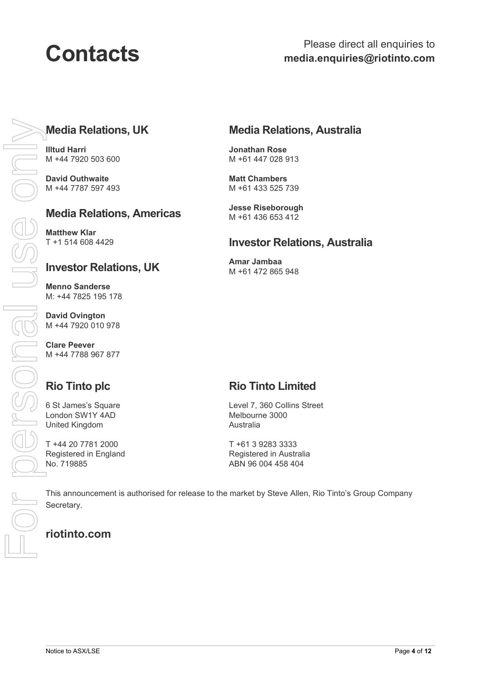# **Media Relations, UK**

**Illtud Harri** M +44 7920 503 600

**David Outhwaite** M +44 7787 597 493

# **Media Relations, Americas**

**Matthew Klar** T +1 514 608 4429

## **Investor Relations, UK**

**Menno Sanderse** M: +44 7825 195 178

**David Ovington** M +44 7920 010 978

**Clare Peever** M +44 7788 967 877

# **Rio Tinto plc**

6 St James's Square London SW1Y 4AD United Kingdom

T +44 20 7781 2000 Registered in England No. 719885

# **Media Relations, Australia**

**Jonathan Rose** M +61 447 028 913

**Matt Chambers** M +61 433 525 739

**Jesse Riseborough** M +61 436 653 412

## **Investor Relations, Australia**

**Amar Jambaa**  M +61 472 865 948

# **Rio Tinto Limited**

Level 7, 360 Collins Street Melbourne 3000 Australia

T +61 3 9283 3333 Registered in Australia ABN 96 004 458 404

This announcement is authorised for release to the market by Steve Allen, Rio Tinto's Group Company Secretary.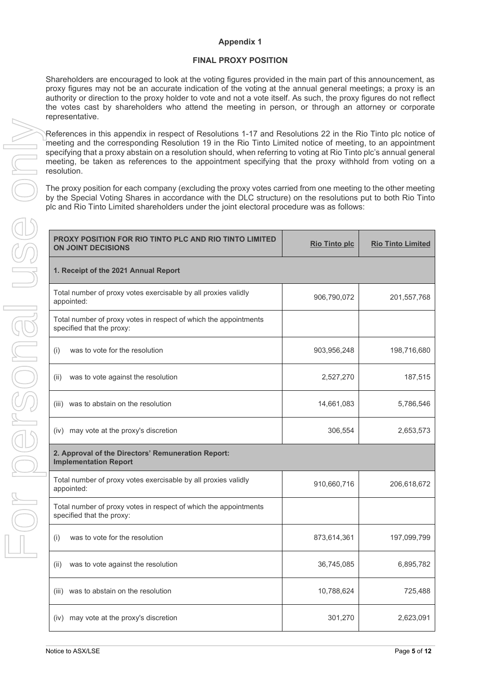#### **Appendix 1**

#### **FINAL PROXY POSITION**

Shareholders are encouraged to look at the voting figures provided in the main part of this announcement, as proxy figures may not be an accurate indication of the voting at the annual general meetings; a proxy is an authority or direction to the proxy holder to vote and not a vote itself. As such, the proxy figures do not reflect the votes cast by shareholders who attend the meeting in person, or through an attorney or corporate representative.

References in this appendix in respect of Resolutions 1-17 and Resolutions 22 in the Rio Tinto plc notice of meeting and the corresponding Resolution 19 in the Rio Tinto Limited notice of meeting, to an appointment specifying that a proxy abstain on a resolution should, when referring to voting at Rio Tinto plc's annual general meeting, be taken as references to the appointment specifying that the proxy withhold from voting on a resolution.

The proxy position for each company (excluding the proxy votes carried from one meeting to the other meeting by the Special Voting Shares in accordance with the DLC structure) on the resolutions put to both Rio Tinto plc and Rio Tinto Limited shareholders under the joint electoral procedure was as follows:

| PROXY POSITION FOR RIO TINTO PLC AND RIO TINTO LIMITED<br><b>ON JOINT DECISIONS</b>           | <b>Rio Tinto plc</b> | <b>Rio Tinto Limited</b> |
|-----------------------------------------------------------------------------------------------|----------------------|--------------------------|
| 1. Receipt of the 2021 Annual Report                                                          |                      |                          |
| Total number of proxy votes exercisable by all proxies validly<br>appointed:                  | 906,790,072          | 201, 557, 768            |
| Total number of proxy votes in respect of which the appointments<br>specified that the proxy: |                      |                          |
| was to vote for the resolution<br>(i)                                                         | 903,956,248          | 198,716,680              |
| was to vote against the resolution<br>(ii)                                                    | 2,527,270            | 187,515                  |
| (iii) was to abstain on the resolution                                                        | 14,661,083           | 5,786,546                |
| (iv) may vote at the proxy's discretion                                                       | 306,554              | 2,653,573                |
| 2. Approval of the Directors' Remuneration Report:<br><b>Implementation Report</b>            |                      |                          |
| Total number of proxy votes exercisable by all proxies validly<br>appointed:                  | 910,660,716          | 206,618,672              |
| Total number of proxy votes in respect of which the appointments<br>specified that the proxy: |                      |                          |
| was to vote for the resolution<br>(i)                                                         | 873,614,361          | 197,099,799              |
| was to vote against the resolution<br>(ii)                                                    | 36,745,085           | 6,895,782                |
| (iii) was to abstain on the resolution                                                        | 10,788,624           | 725,488                  |
| (iv) may vote at the proxy's discretion                                                       | 301,270              | 2,623,091                |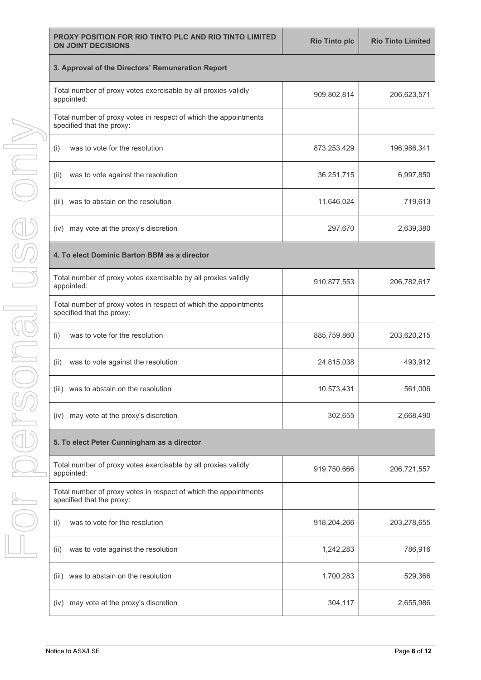| PROXY POSITION FOR RIO TINTO PLC AND RIO TINTO LIMITED<br><b>ON JOINT DECISIONS</b>           | <b>Rio Tinto plc</b> | <b>Rio Tinto Limited</b> |  |  |  |  |  |
|-----------------------------------------------------------------------------------------------|----------------------|--------------------------|--|--|--|--|--|
| 3. Approval of the Directors' Remuneration Report                                             |                      |                          |  |  |  |  |  |
| Total number of proxy votes exercisable by all proxies validly<br>appointed:                  | 909,802,814          | 206,623,571              |  |  |  |  |  |
| Total number of proxy votes in respect of which the appointments<br>specified that the proxy: |                      |                          |  |  |  |  |  |
| was to vote for the resolution<br>(i)                                                         | 873,253,429          | 196,986,341              |  |  |  |  |  |
| was to vote against the resolution<br>(ii)                                                    | 36,251,715           | 6,997,850                |  |  |  |  |  |
| was to abstain on the resolution<br>(iii)                                                     | 11,646,024           | 719,613                  |  |  |  |  |  |
| (iv) may vote at the proxy's discretion                                                       | 297,670              | 2,639,380                |  |  |  |  |  |
| 4. To elect Dominic Barton BBM as a director                                                  |                      |                          |  |  |  |  |  |
| Total number of proxy votes exercisable by all proxies validly<br>appointed:                  | 910,877,553          | 206,782,617              |  |  |  |  |  |
| Total number of proxy votes in respect of which the appointments<br>specified that the proxy: |                      |                          |  |  |  |  |  |
| was to vote for the resolution<br>(i)                                                         | 885,759,860          | 203,620,215              |  |  |  |  |  |
| (ii)<br>was to vote against the resolution                                                    | 24,815,038           | 493,912                  |  |  |  |  |  |
| (iii) was to abstain on the resolution                                                        | 10,573,431           | 561,006                  |  |  |  |  |  |
| (iv) may vote at the proxy's discretion                                                       | 302,655              | 2,668,490                |  |  |  |  |  |
| 5. To elect Peter Cunningham as a director                                                    |                      |                          |  |  |  |  |  |
| Total number of proxy votes exercisable by all proxies validly<br>appointed:                  | 919,750,666          | 206,721,557              |  |  |  |  |  |
| Total number of proxy votes in respect of which the appointments<br>specified that the proxy: |                      |                          |  |  |  |  |  |
| was to vote for the resolution<br>(i)                                                         | 918,204,266          | 203,278,655              |  |  |  |  |  |
| was to vote against the resolution<br>(ii)                                                    | 1,242,283            | 786,916                  |  |  |  |  |  |
| was to abstain on the resolution<br>(iii)                                                     | 1,700,283            | 529,366                  |  |  |  |  |  |
| may vote at the proxy's discretion<br>(iv)                                                    | 304,117              | 2,655,986                |  |  |  |  |  |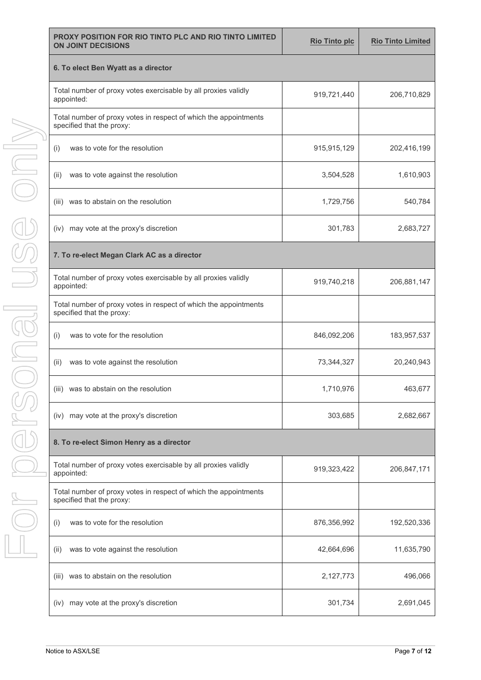| <b>PROXY POSITION FOR RIO TINTO PLC AND RIO TINTO LIMITED</b><br><b>ON JOINT DECISIONS</b>    | <b>Rio Tinto plc</b> | <b>Rio Tinto Limited</b> |  |  |  |  |  |
|-----------------------------------------------------------------------------------------------|----------------------|--------------------------|--|--|--|--|--|
| 6. To elect Ben Wyatt as a director                                                           |                      |                          |  |  |  |  |  |
| Total number of proxy votes exercisable by all proxies validly<br>appointed:                  | 919,721,440          | 206,710,829              |  |  |  |  |  |
| Total number of proxy votes in respect of which the appointments<br>specified that the proxy: |                      |                          |  |  |  |  |  |
| was to vote for the resolution<br>(i)                                                         | 915,915,129          | 202,416,199              |  |  |  |  |  |
| was to vote against the resolution<br>(ii)                                                    | 3,504,528            | 1,610,903                |  |  |  |  |  |
| (iii) was to abstain on the resolution                                                        | 1,729,756            | 540,784                  |  |  |  |  |  |
| (iv) may vote at the proxy's discretion                                                       | 301,783              | 2,683,727                |  |  |  |  |  |
| 7. To re-elect Megan Clark AC as a director                                                   |                      |                          |  |  |  |  |  |
| Total number of proxy votes exercisable by all proxies validly<br>appointed:                  | 919,740,218          | 206,881,147              |  |  |  |  |  |
| Total number of proxy votes in respect of which the appointments<br>specified that the proxy: |                      |                          |  |  |  |  |  |
| was to vote for the resolution<br>(i)                                                         | 846,092,206          | 183,957,537              |  |  |  |  |  |
| was to vote against the resolution<br>(ii)                                                    | 73,344,327           | 20,240,943               |  |  |  |  |  |
| (iii) was to abstain on the resolution                                                        | 1,710,976            | 463,677                  |  |  |  |  |  |
| (iv) may vote at the proxy's discretion                                                       | 303,685              | 2,682,667                |  |  |  |  |  |
| 8. To re-elect Simon Henry as a director                                                      |                      |                          |  |  |  |  |  |
| Total number of proxy votes exercisable by all proxies validly<br>appointed:                  | 919,323,422          | 206,847,171              |  |  |  |  |  |
| Total number of proxy votes in respect of which the appointments<br>specified that the proxy: |                      |                          |  |  |  |  |  |
| was to vote for the resolution<br>(i)                                                         | 876,356,992          | 192,520,336              |  |  |  |  |  |
| was to vote against the resolution<br>(ii)                                                    | 42,664,696           | 11,635,790               |  |  |  |  |  |
| (iii) was to abstain on the resolution                                                        | 2,127,773            | 496,066                  |  |  |  |  |  |
| may vote at the proxy's discretion<br>(iv)                                                    | 301,734              | 2,691,045                |  |  |  |  |  |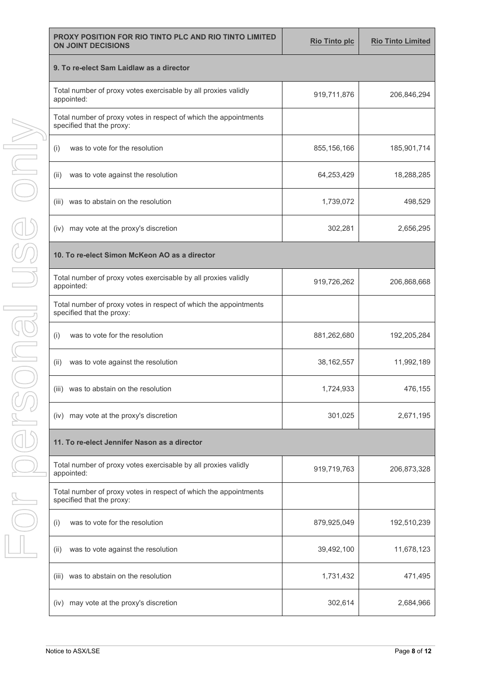| PROXY POSITION FOR RIO TINTO PLC AND RIO TINTO LIMITED<br><b>ON JOINT DECISIONS</b>           | <b>Rio Tinto plc</b> | <b>Rio Tinto Limited</b> |  |  |  |  |  |
|-----------------------------------------------------------------------------------------------|----------------------|--------------------------|--|--|--|--|--|
| 9. To re-elect Sam Laidlaw as a director                                                      |                      |                          |  |  |  |  |  |
| Total number of proxy votes exercisable by all proxies validly<br>appointed:                  | 919,711,876          | 206,846,294              |  |  |  |  |  |
| Total number of proxy votes in respect of which the appointments<br>specified that the proxy: |                      |                          |  |  |  |  |  |
| was to vote for the resolution<br>(i)                                                         | 855, 156, 166        | 185,901,714              |  |  |  |  |  |
| was to vote against the resolution<br>(ii)                                                    | 64,253,429           | 18,288,285               |  |  |  |  |  |
| was to abstain on the resolution<br>(iii)                                                     | 1,739,072            | 498,529                  |  |  |  |  |  |
| (iv) may vote at the proxy's discretion                                                       | 302,281              | 2,656,295                |  |  |  |  |  |
| 10. To re-elect Simon McKeon AO as a director                                                 |                      |                          |  |  |  |  |  |
| Total number of proxy votes exercisable by all proxies validly<br>appointed:                  | 919,726,262          | 206,868,668              |  |  |  |  |  |
| Total number of proxy votes in respect of which the appointments<br>specified that the proxy: |                      |                          |  |  |  |  |  |
| was to vote for the resolution<br>(i)                                                         | 881,262,680          | 192,205,284              |  |  |  |  |  |
| (ii)<br>was to vote against the resolution                                                    | 38, 162, 557         | 11,992,189               |  |  |  |  |  |
| (iii) was to abstain on the resolution                                                        | 1,724,933            | 476,155                  |  |  |  |  |  |
| (iv) may vote at the proxy's discretion                                                       | 301,025              | 2,671,195                |  |  |  |  |  |
| 11. To re-elect Jennifer Nason as a director                                                  |                      |                          |  |  |  |  |  |
| Total number of proxy votes exercisable by all proxies validly<br>appointed:                  | 919,719,763          | 206,873,328              |  |  |  |  |  |
| Total number of proxy votes in respect of which the appointments<br>specified that the proxy: |                      |                          |  |  |  |  |  |
| was to vote for the resolution<br>(i)                                                         | 879,925,049          | 192,510,239              |  |  |  |  |  |
| was to vote against the resolution<br>(ii)                                                    | 39,492,100           | 11,678,123               |  |  |  |  |  |
| was to abstain on the resolution<br>(iii)                                                     | 1,731,432            | 471,495                  |  |  |  |  |  |
| may vote at the proxy's discretion<br>(iv)                                                    | 302,614              | 2,684,966                |  |  |  |  |  |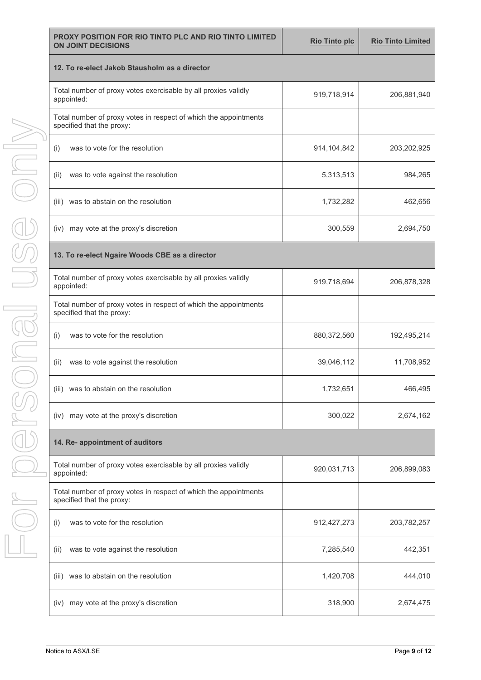| PROXY POSITION FOR RIO TINTO PLC AND RIO TINTO LIMITED<br><b>ON JOINT DECISIONS</b>           | <b>Rio Tinto plc</b> | <b>Rio Tinto Limited</b> |  |  |  |  |  |
|-----------------------------------------------------------------------------------------------|----------------------|--------------------------|--|--|--|--|--|
| 12. To re-elect Jakob Stausholm as a director                                                 |                      |                          |  |  |  |  |  |
| Total number of proxy votes exercisable by all proxies validly<br>appointed:                  | 919,718,914          | 206,881,940              |  |  |  |  |  |
| Total number of proxy votes in respect of which the appointments<br>specified that the proxy: |                      |                          |  |  |  |  |  |
| was to vote for the resolution<br>(i)                                                         | 914,104,842          | 203,202,925              |  |  |  |  |  |
| was to vote against the resolution<br>(ii)                                                    | 5,313,513            | 984,265                  |  |  |  |  |  |
| was to abstain on the resolution<br>(iii)                                                     | 1,732,282            | 462,656                  |  |  |  |  |  |
| (iv) may vote at the proxy's discretion                                                       | 300,559              | 2,694,750                |  |  |  |  |  |
| 13. To re-elect Ngaire Woods CBE as a director                                                |                      |                          |  |  |  |  |  |
| Total number of proxy votes exercisable by all proxies validly<br>appointed:                  | 919,718,694          | 206,878,328              |  |  |  |  |  |
| Total number of proxy votes in respect of which the appointments<br>specified that the proxy: |                      |                          |  |  |  |  |  |
| was to vote for the resolution<br>(i)                                                         | 880,372,560          | 192,495,214              |  |  |  |  |  |
| (ii)<br>was to vote against the resolution                                                    | 39,046,112           | 11,708,952               |  |  |  |  |  |
| (iii) was to abstain on the resolution                                                        | 1,732,651            | 466,495                  |  |  |  |  |  |
| (iv) may vote at the proxy's discretion                                                       | 300,022              | 2,674,162                |  |  |  |  |  |
| 14. Re- appointment of auditors                                                               |                      |                          |  |  |  |  |  |
| Total number of proxy votes exercisable by all proxies validly<br>appointed:                  | 920,031,713          | 206,899,083              |  |  |  |  |  |
| Total number of proxy votes in respect of which the appointments<br>specified that the proxy: |                      |                          |  |  |  |  |  |
| was to vote for the resolution<br>(i)                                                         | 912,427,273          | 203,782,257              |  |  |  |  |  |
| was to vote against the resolution<br>(ii)                                                    | 7,285,540            | 442,351                  |  |  |  |  |  |
| was to abstain on the resolution<br>(III)                                                     | 1,420,708            | 444,010                  |  |  |  |  |  |
| may vote at the proxy's discretion<br>(iv)                                                    | 318,900              | 2,674,475                |  |  |  |  |  |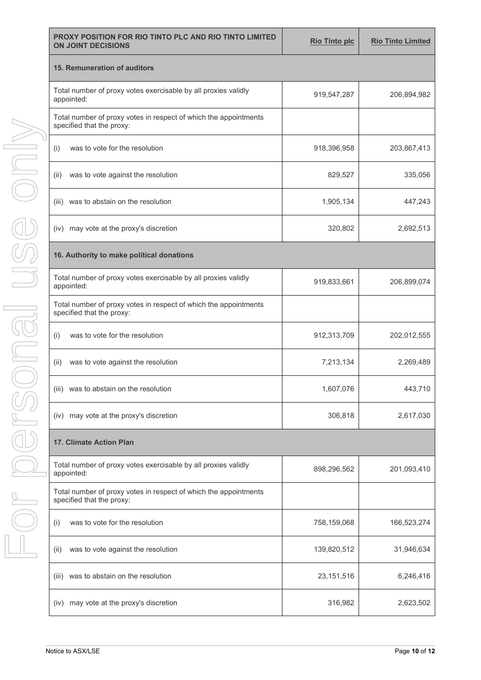| PROXY POSITION FOR RIO TINTO PLC AND RIO TINTO LIMITED<br><b>ON JOINT DECISIONS</b>           | <b>Rio Tinto plc</b> | <b>Rio Tinto Limited</b> |
|-----------------------------------------------------------------------------------------------|----------------------|--------------------------|
| 15. Remuneration of auditors                                                                  |                      |                          |
| Total number of proxy votes exercisable by all proxies validly<br>appointed:                  | 919,547,287          | 206,894,982              |
| Total number of proxy votes in respect of which the appointments<br>specified that the proxy: |                      |                          |
| was to vote for the resolution<br>(i)                                                         | 918,396,958          | 203,867,413              |
| was to vote against the resolution<br>(ii)                                                    | 829,527              | 335,056                  |
| was to abstain on the resolution<br>(iii)                                                     | 1,905,134            | 447,243                  |
| (iv) may vote at the proxy's discretion                                                       | 320,802              | 2,692,513                |
| 16. Authority to make political donations                                                     |                      |                          |
| Total number of proxy votes exercisable by all proxies validly<br>appointed:                  | 919,833,661          | 206,899,074              |
| Total number of proxy votes in respect of which the appointments<br>specified that the proxy: |                      |                          |
| was to vote for the resolution<br>(i)                                                         | 912,313,709          | 202,012,555              |
| was to vote against the resolution<br>(ii)                                                    | 7,213,134            | 2,269,489                |
| (iii) was to abstain on the resolution                                                        | 1,607,076            | 443,710                  |
| (iv) may vote at the proxy's discretion                                                       | 306,818              | 2,617,030                |
| 17. Climate Action Plan                                                                       |                      |                          |
| Total number of proxy votes exercisable by all proxies validly<br>appointed:                  | 898,296,562          | 201,093,410              |
| Total number of proxy votes in respect of which the appointments<br>specified that the proxy: |                      |                          |
| was to vote for the resolution<br>(i)                                                         | 758,159,068          | 166,523,274              |
| was to vote against the resolution<br>(ii)                                                    | 139,820,512          | 31,946,634               |
| was to abstain on the resolution<br>(III)                                                     | 23, 151, 516         | 6,246,416                |
| (iv) may vote at the proxy's discretion                                                       | 316,982              | 2,623,502                |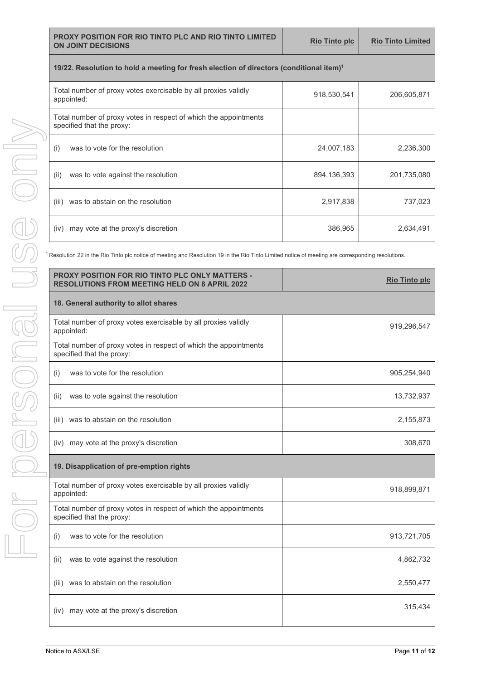|  | <b>PROXY POSITION FOR RIO TINTO PLC AND RIO TINTO LIMITED</b><br><b>ON JOINT DECISIONS</b>          | <b>Rio Tinto plc</b> | <b>Rio Tinto Limited</b> |  |  |
|--|-----------------------------------------------------------------------------------------------------|----------------------|--------------------------|--|--|
|  | 19/22. Resolution to hold a meeting for fresh election of directors (conditional item) <sup>1</sup> |                      |                          |  |  |
|  | Total number of proxy votes exercisable by all proxies validly<br>appointed:                        | 918,530,541          | 206,605,871              |  |  |
|  | Total number of proxy votes in respect of which the appointments<br>specified that the proxy:       |                      |                          |  |  |
|  | was to vote for the resolution<br>(i)                                                               | 24,007,183           | 2,236,300                |  |  |
|  | was to vote against the resolution<br>(ii)                                                          | 894,136,393          | 201,735,080              |  |  |
|  | was to abstain on the resolution<br>(iii)                                                           | 2,917,838            | 737,023                  |  |  |
|  | may vote at the proxy's discretion<br>(iv)                                                          | 386,965              | 2,634,491                |  |  |

<sup>1</sup> Resolution 22 in the Rio Tinto plc notice of meeting and Resolution 19 in the Rio Tinto Limited notice of meeting are corresponding resolutions.

| PROXY POSITION FOR RIO TINTO PLC ONLY MATTERS -<br><b>RESOLUTIONS FROM MEETING HELD ON 8 APRIL 2022</b> | <b>Rio Tinto plc</b> |
|---------------------------------------------------------------------------------------------------------|----------------------|
| 18. General authority to allot shares                                                                   |                      |
| Total number of proxy votes exercisable by all proxies validly<br>appointed:                            | 919,296,547          |
| Total number of proxy votes in respect of which the appointments<br>specified that the proxy:           |                      |
| was to vote for the resolution<br>(i)                                                                   | 905,254,940          |
| (ii)<br>was to vote against the resolution                                                              | 13,732,937           |
| was to abstain on the resolution<br>(iii)                                                               | 2,155,873            |
| may vote at the proxy's discretion<br>(iv)                                                              | 308,670              |
| 19. Disapplication of pre-emption rights                                                                |                      |
| Total number of proxy votes exercisable by all proxies validly<br>appointed:                            | 918,899,871          |
| Total number of proxy votes in respect of which the appointments<br>specified that the proxy:           |                      |
| was to vote for the resolution<br>(i)                                                                   | 913,721,705          |
| (ii)<br>was to vote against the resolution                                                              | 4,862,732            |
| was to abstain on the resolution<br>(iii)                                                               | 2,550,477            |
| may vote at the proxy's discretion<br>(iv)                                                              | 315,434              |